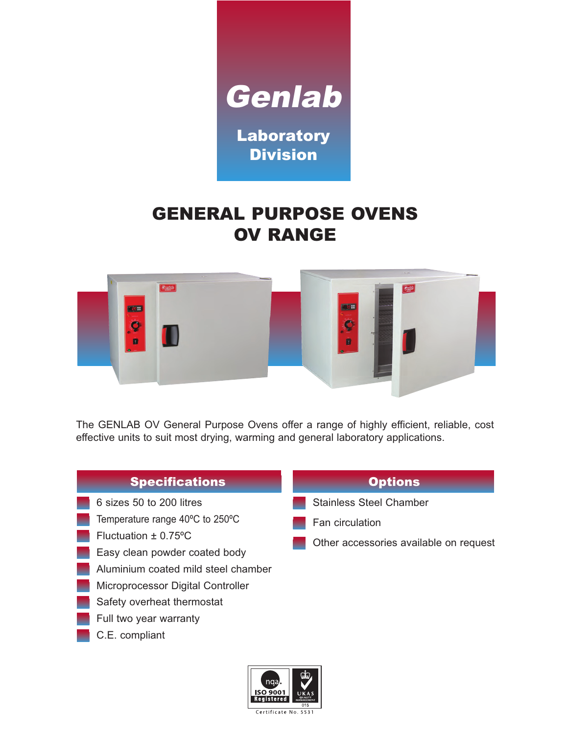

# GENERAL PURPOSE OVENS OV RANGE



The GENLAB OV General Purpose Ovens offer a range of highly efficient, reliable, cost effective units to suit most drying, warming and general laboratory applications.

#### **Specifications**

- 6 sizes 50 to 200 litres
- Temperature range 40ºC to 250ºC
- Fluctuation ± 0.75ºC
- Easy clean powder coated body
- Aluminium coated mild steel chamber
- **Microprocessor Digital Controller**
- Safety overheat thermostat
- Full two year warranty
- C.E. compliant

#### **Options**

- Stainless Steel Chamber
- Fan circulation
- Other accessories available on request